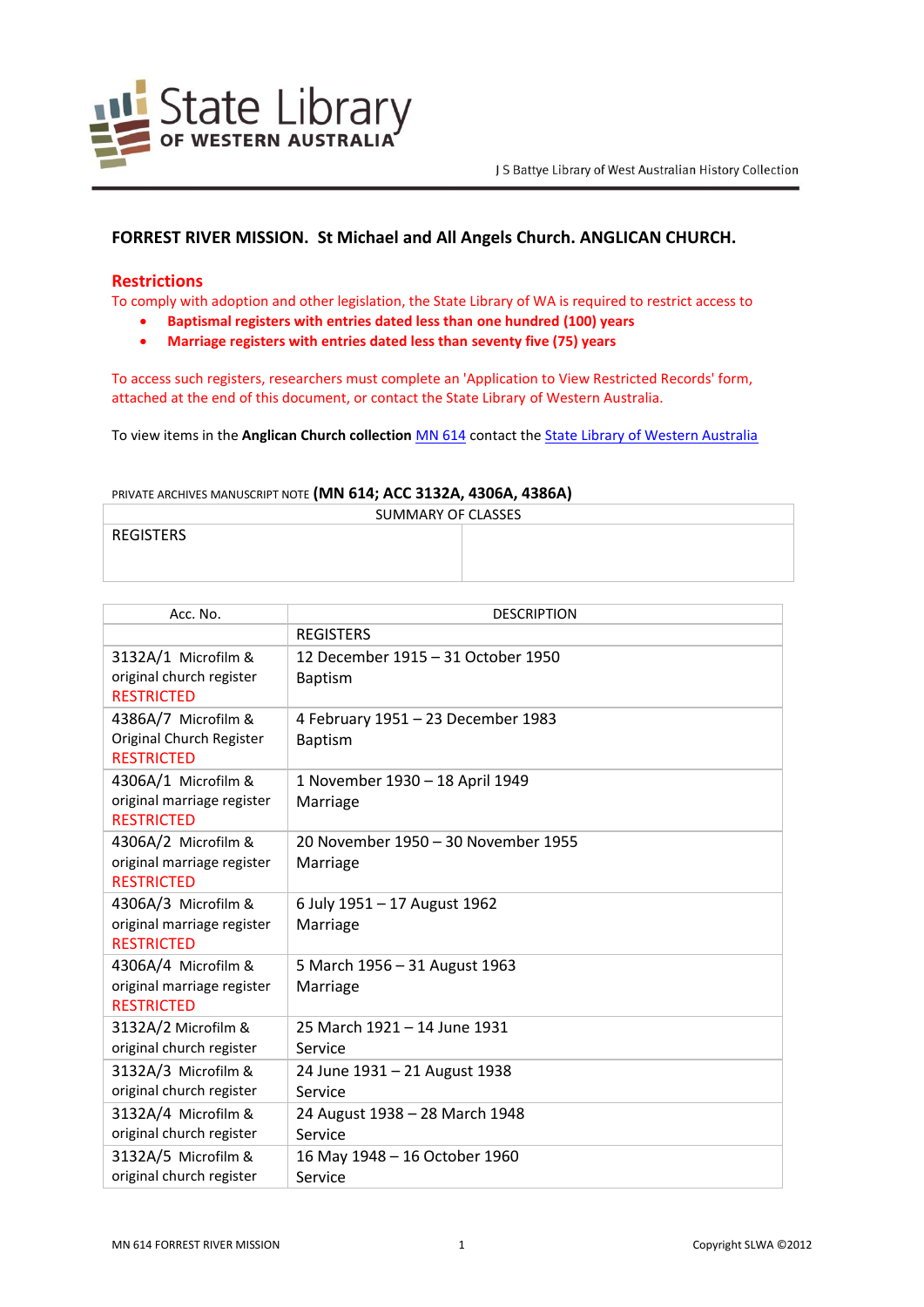

# **FORREST RIVER MISSION. St Michael and All Angels Church. ANGLICAN CHURCH.**

# **Restrictions**

To comply with adoption and other legislation, the State Library of WA is required to restrict access to

- **Baptismal registers with entries dated less than one hundred (100) years**
- **Marriage registers with entries dated less than seventy five (75) years**

To access such registers, researchers must complete an 'Application to View Restricted Records' form, attached at the end of this document, or contact the State Library of Western Australia.

To view items in the **Anglican Church collection** [MN 614](http://encore.slwa.wa.gov.au/iii/encore/record/C__Rb1787125__Smn%20614__Orightresult__U__X3?lang=eng&suite=def) contact th[e State Library of Western Australia](http://slwa.wa.gov.au/about_us/contact_us)

PRIVATE ARCHIVES MANUSCRIPT NOTE **(MN 614; ACC 3132A, 4306A, 4386A)**

| SUMMARY OF CLASSES |  |
|--------------------|--|
| <b>REGISTERS</b>   |  |
|                    |  |

| Acc. No.                                                               | <b>DESCRIPTION</b>                                   |
|------------------------------------------------------------------------|------------------------------------------------------|
|                                                                        | <b>REGISTERS</b>                                     |
| 3132A/1 Microfilm &<br>original church register<br><b>RESTRICTED</b>   | 12 December 1915 – 31 October 1950<br><b>Baptism</b> |
| 4386A/7 Microfilm &<br>Original Church Register<br><b>RESTRICTED</b>   | 4 February 1951 - 23 December 1983<br><b>Baptism</b> |
| 4306A/1 Microfilm &<br>original marriage register<br><b>RESTRICTED</b> | 1 November 1930 - 18 April 1949<br>Marriage          |
| 4306A/2 Microfilm &<br>original marriage register<br><b>RESTRICTED</b> | 20 November 1950 - 30 November 1955<br>Marriage      |
| 4306A/3 Microfilm &<br>original marriage register<br><b>RESTRICTED</b> | 6 July 1951 - 17 August 1962<br>Marriage             |
| 4306A/4 Microfilm &<br>original marriage register<br><b>RESTRICTED</b> | 5 March 1956 - 31 August 1963<br>Marriage            |
| 3132A/2 Microfilm &<br>original church register                        | 25 March 1921 - 14 June 1931<br>Service              |
| 3132A/3 Microfilm &<br>original church register                        | 24 June 1931 - 21 August 1938<br>Service             |
| 3132A/4 Microfilm &<br>original church register                        | 24 August 1938 - 28 March 1948<br>Service            |
| 3132A/5 Microfilm &<br>original church register                        | 16 May 1948 - 16 October 1960<br>Service             |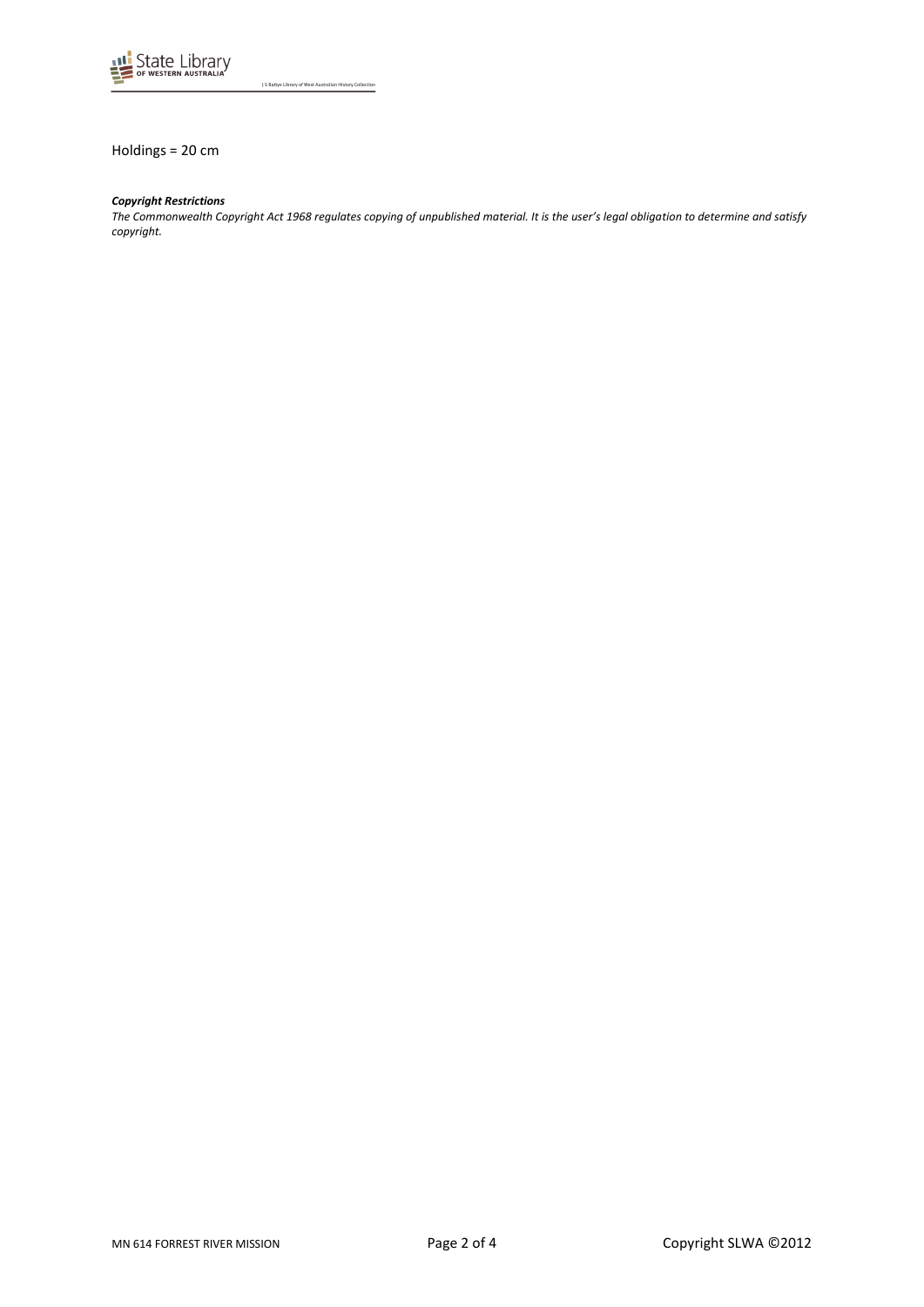

J S Battye Library of West Australian History Collection

Holdings = 20 cm

## *Copyright Restrictions*

*The Commonwealth Copyright Act 1968 regulates copying of unpublished material. It is the user's legal obligation to determine and satisfy copyright.*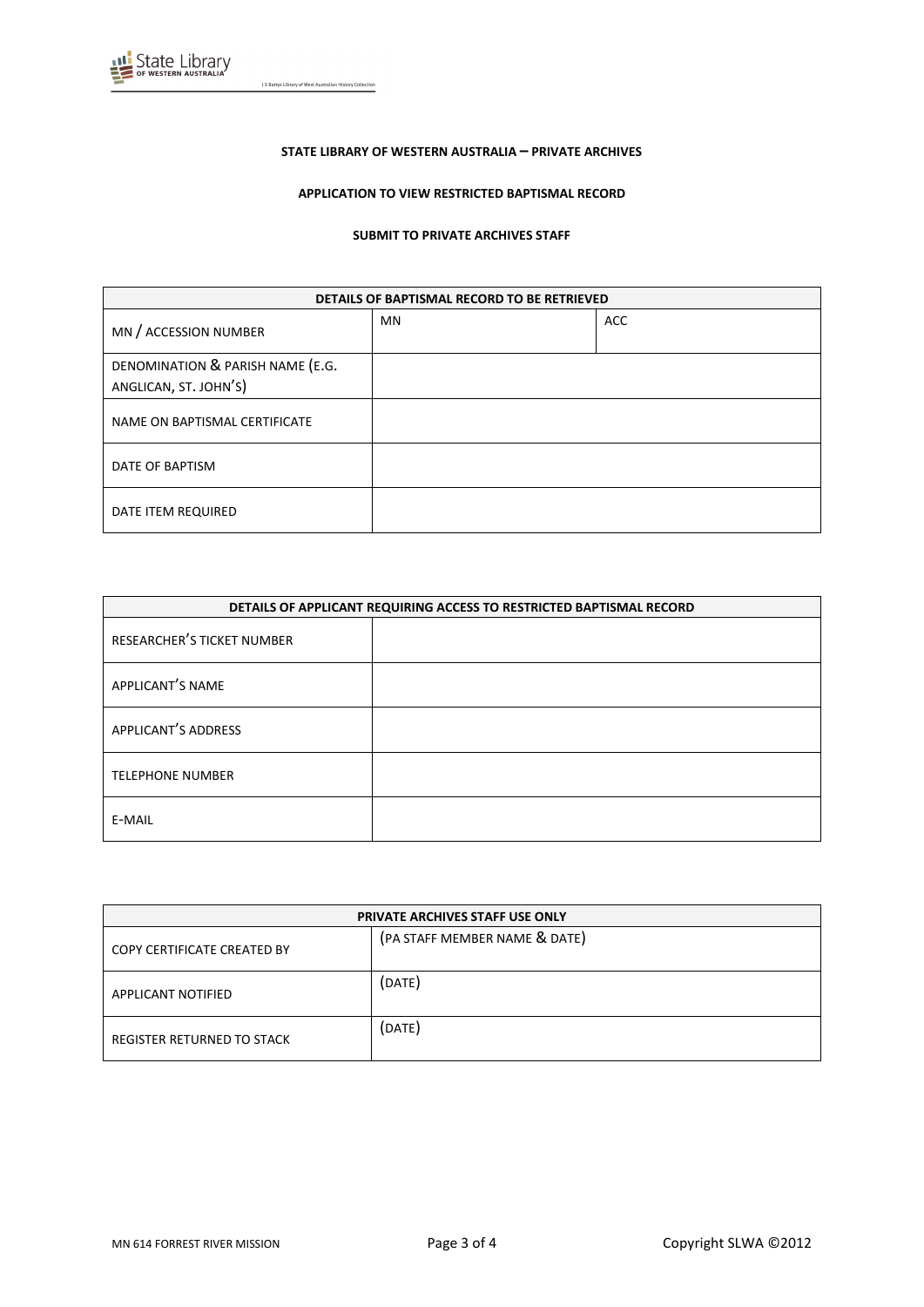

J S Battye Library of West Australian History Collection

#### **STATE LIBRARY OF WESTERN AUSTRALIA – PRIVATE ARCHIVES**

## **APPLICATION TO VIEW RESTRICTED BAPTISMAL RECORD**

#### **SUBMIT TO PRIVATE ARCHIVES STAFF**

| DETAILS OF BAPTISMAL RECORD TO BE RETRIEVED               |    |            |
|-----------------------------------------------------------|----|------------|
| MN / ACCESSION NUMBER                                     | MN | <b>ACC</b> |
| DENOMINATION & PARISH NAME (E.G.<br>ANGLICAN, ST. JOHN'S) |    |            |
| NAME ON BAPTISMAL CERTIFICATE                             |    |            |
| DATE OF BAPTISM                                           |    |            |
| DATE ITEM REQUIRED                                        |    |            |

| DETAILS OF APPLICANT REQUIRING ACCESS TO RESTRICTED BAPTISMAL RECORD |  |
|----------------------------------------------------------------------|--|
| RESEARCHER'S TICKET NUMBER                                           |  |
| APPLICANT'S NAME                                                     |  |
| <b>APPLICANT'S ADDRESS</b>                                           |  |
| <b>TELEPHONE NUMBER</b>                                              |  |
| E-MAIL                                                               |  |

| <b>PRIVATE ARCHIVES STAFF USE ONLY</b> |                               |
|----------------------------------------|-------------------------------|
| COPY CERTIFICATE CREATED BY            | (PA STAFF MEMBER NAME & DATE) |
| APPLICANT NOTIFIED                     | (DATE)                        |
| REGISTER RETURNED TO STACK             | (DATE)                        |